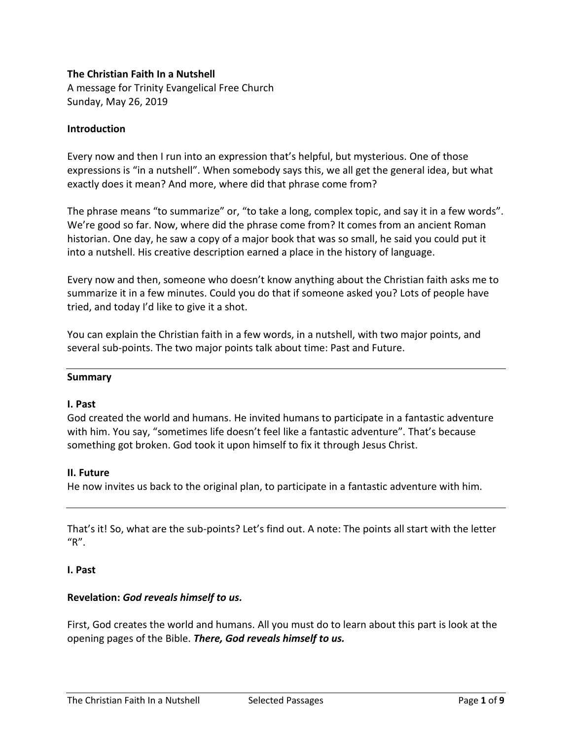## **The Christian Faith In a Nutshell**

A message for Trinity Evangelical Free Church Sunday, May 26, 2019

### **Introduction**

Every now and then I run into an expression that's helpful, but mysterious. One of those expressions is "in a nutshell". When somebody says this, we all get the general idea, but what exactly does it mean? And more, where did that phrase come from?

The phrase means "to summarize" or, "to take a long, complex topic, and say it in a few words". We're good so far. Now, where did the phrase come from? It comes from an ancient Roman historian. One day, he saw a copy of a major book that was so small, he said you could put it into a nutshell. His creative description earned a place in the history of language.

Every now and then, someone who doesn't know anything about the Christian faith asks me to summarize it in a few minutes. Could you do that if someone asked you? Lots of people have tried, and today I'd like to give it a shot.

You can explain the Christian faith in a few words, in a nutshell, with two major points, and several sub-points. The two major points talk about time: Past and Future.

### **Summary**

### **I. Past**

God created the world and humans. He invited humans to participate in a fantastic adventure with him. You say, "sometimes life doesn't feel like a fantastic adventure". That's because something got broken. God took it upon himself to fix it through Jesus Christ.

### **II. Future**

He now invites us back to the original plan, to participate in a fantastic adventure with him.

That's it! So, what are the sub-points? Let's find out. A note: The points all start with the letter  $^{\prime\prime}$ R $^{\prime\prime}$ .

### **I. Past**

### **Revelation:** *God reveals himself to us.*

First, God creates the world and humans. All you must do to learn about this part is look at the opening pages of the Bible. *There, God reveals himself to us.*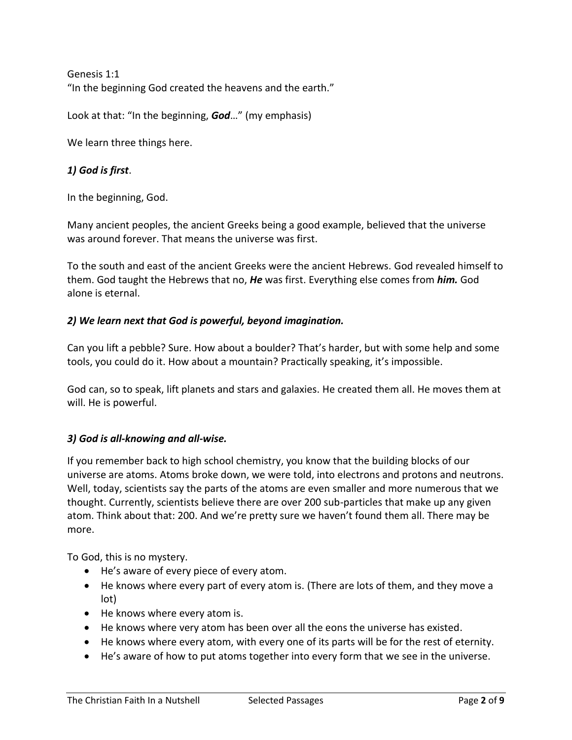Genesis 1:1 "In the beginning God created the heavens and the earth."

Look at that: "In the beginning, *God*…" (my emphasis)

We learn three things here.

## *1) God is first*.

In the beginning, God.

Many ancient peoples, the ancient Greeks being a good example, believed that the universe was around forever. That means the universe was first.

To the south and east of the ancient Greeks were the ancient Hebrews. God revealed himself to them. God taught the Hebrews that no, *He* was first. Everything else comes from *him.* God alone is eternal.

## *2) We learn next that God is powerful, beyond imagination.*

Can you lift a pebble? Sure. How about a boulder? That's harder, but with some help and some tools, you could do it. How about a mountain? Practically speaking, it's impossible.

God can, so to speak, lift planets and stars and galaxies. He created them all. He moves them at will. He is powerful.

### *3) God is all-knowing and all-wise.*

If you remember back to high school chemistry, you know that the building blocks of our universe are atoms. Atoms broke down, we were told, into electrons and protons and neutrons. Well, today, scientists say the parts of the atoms are even smaller and more numerous that we thought. Currently, scientists believe there are over 200 sub-particles that make up any given atom. Think about that: 200. And we're pretty sure we haven't found them all. There may be more.

To God, this is no mystery.

- He's aware of every piece of every atom.
- He knows where every part of every atom is. (There are lots of them, and they move a lot)
- He knows where every atom is.
- He knows where very atom has been over all the eons the universe has existed.
- He knows where every atom, with every one of its parts will be for the rest of eternity.
- He's aware of how to put atoms together into every form that we see in the universe.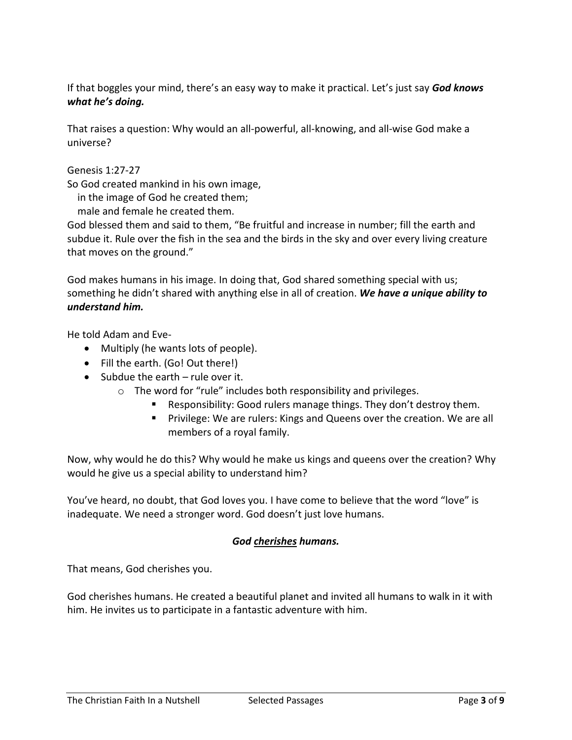If that boggles your mind, there's an easy way to make it practical. Let's just say *God knows what he's doing.*

That raises a question: Why would an all-powerful, all-knowing, and all-wise God make a universe?

Genesis 1:27-27

So God created mankind in his own image,

in the image of God he created them;

male and female he created them.

God blessed them and said to them, "Be fruitful and increase in number; fill the earth and subdue it. Rule over the fish in the sea and the birds in the sky and over every living creature that moves on the ground."

God makes humans in his image. In doing that, God shared something special with us; something he didn't shared with anything else in all of creation. *We have a unique ability to understand him.*

He told Adam and Eve-

- Multiply (he wants lots of people).
- Fill the earth. (Go! Out there!)
- Subdue the earth rule over it.
	- o The word for "rule" includes both responsibility and privileges.
		- Responsibility: Good rulers manage things. They don't destroy them.
		- **•** Privilege: We are rulers: Kings and Queens over the creation. We are all members of a royal family.

Now, why would he do this? Why would he make us kings and queens over the creation? Why would he give us a special ability to understand him?

You've heard, no doubt, that God loves you. I have come to believe that the word "love" is inadequate. We need a stronger word. God doesn't just love humans.

# *God cherishes humans.*

That means, God cherishes you.

God cherishes humans. He created a beautiful planet and invited all humans to walk in it with him. He invites us to participate in a fantastic adventure with him.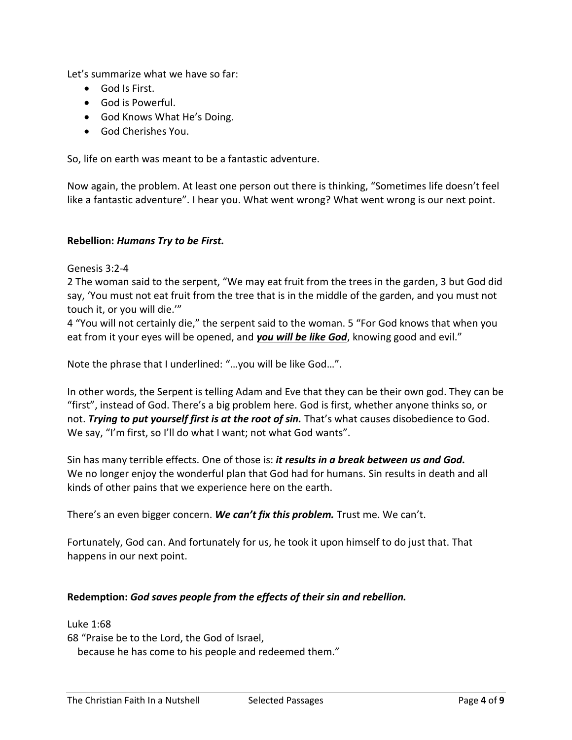Let's summarize what we have so far:

- God Is First.
- God is Powerful.
- God Knows What He's Doing.
- God Cherishes You.

So, life on earth was meant to be a fantastic adventure.

Now again, the problem. At least one person out there is thinking, "Sometimes life doesn't feel like a fantastic adventure". I hear you. What went wrong? What went wrong is our next point.

### **Rebellion:** *Humans Try to be First.*

### Genesis 3:2-4

2 The woman said to the serpent, "We may eat fruit from the trees in the garden, 3 but God did say, 'You must not eat fruit from the tree that is in the middle of the garden, and you must not touch it, or you will die.'"

4 "You will not certainly die," the serpent said to the woman. 5 "For God knows that when you eat from it your eyes will be opened, and *you will be like God*, knowing good and evil."

Note the phrase that I underlined: "…you will be like God…".

In other words, the Serpent is telling Adam and Eve that they can be their own god. They can be "first", instead of God. There's a big problem here. God is first, whether anyone thinks so, or not. *Trying to put yourself first is at the root of sin.* That's what causes disobedience to God. We say, "I'm first, so I'll do what I want; not what God wants".

Sin has many terrible effects. One of those is: *it results in a break between us and God.* We no longer enjoy the wonderful plan that God had for humans. Sin results in death and all kinds of other pains that we experience here on the earth.

There's an even bigger concern. *We can't fix this problem.* Trust me. We can't.

Fortunately, God can. And fortunately for us, he took it upon himself to do just that. That happens in our next point.

### **Redemption:** *God saves people from the effects of their sin and rebellion.*

Luke 1:68

68 "Praise be to the Lord, the God of Israel,

because he has come to his people and redeemed them."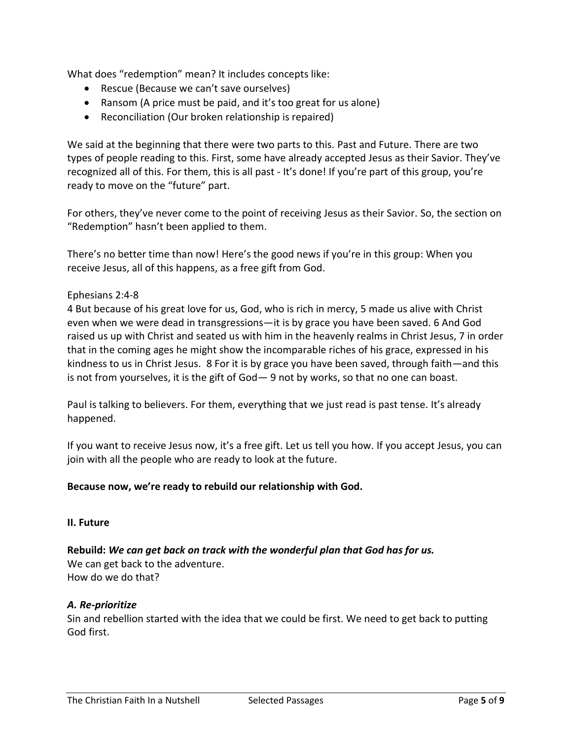What does "redemption" mean? It includes concepts like:

- Rescue (Because we can't save ourselves)
- Ransom (A price must be paid, and it's too great for us alone)
- Reconciliation (Our broken relationship is repaired)

We said at the beginning that there were two parts to this. Past and Future. There are two types of people reading to this. First, some have already accepted Jesus as their Savior. They've recognized all of this. For them, this is all past - It's done! If you're part of this group, you're ready to move on the "future" part.

For others, they've never come to the point of receiving Jesus as their Savior. So, the section on "Redemption" hasn't been applied to them.

There's no better time than now! Here's the good news if you're in this group: When you receive Jesus, all of this happens, as a free gift from God.

## Ephesians 2:4-8

4 But because of his great love for us, God, who is rich in mercy, 5 made us alive with Christ even when we were dead in transgressions—it is by grace you have been saved. 6 And God raised us up with Christ and seated us with him in the heavenly realms in Christ Jesus, 7 in order that in the coming ages he might show the incomparable riches of his grace, expressed in his kindness to us in Christ Jesus. 8 For it is by grace you have been saved, through faith—and this is not from yourselves, it is the gift of God— 9 not by works, so that no one can boast.

Paul is talking to believers. For them, everything that we just read is past tense. It's already happened.

If you want to receive Jesus now, it's a free gift. Let us tell you how. If you accept Jesus, you can join with all the people who are ready to look at the future.

### **Because now, we're ready to rebuild our relationship with God.**

### **II. Future**

# **Rebuild:** *We can get back on track with the wonderful plan that God has for us.*

We can get back to the adventure. How do we do that?

### *A. Re-prioritize*

Sin and rebellion started with the idea that we could be first. We need to get back to putting God first.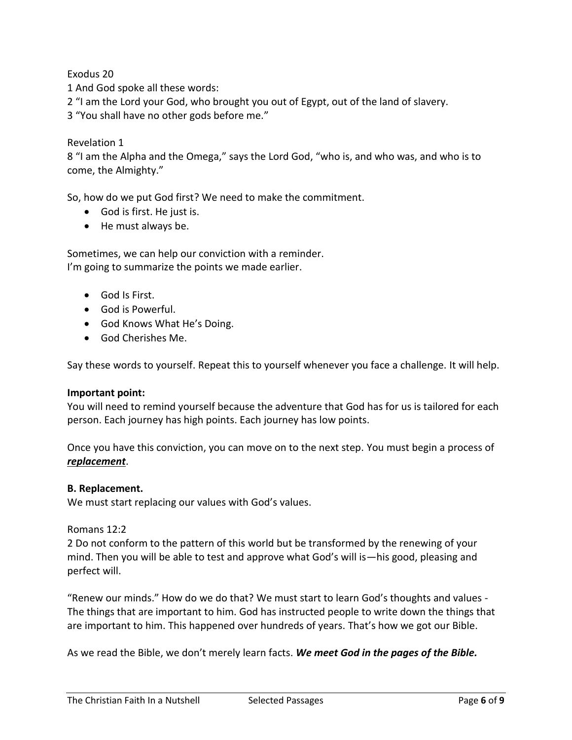Exodus 20

1 And God spoke all these words:

2 "I am the Lord your God, who brought you out of Egypt, out of the land of slavery.

3 "You shall have no other gods before me."

Revelation 1

8 "I am the Alpha and the Omega," says the Lord God, "who is, and who was, and who is to come, the Almighty."

So, how do we put God first? We need to make the commitment.

- God is first. He just is.
- He must always be.

Sometimes, we can help our conviction with a reminder. I'm going to summarize the points we made earlier.

- God Is First.
- God is Powerful.
- God Knows What He's Doing.
- God Cherishes Me.

Say these words to yourself. Repeat this to yourself whenever you face a challenge. It will help.

### **Important point:**

You will need to remind yourself because the adventure that God has for us is tailored for each person. Each journey has high points. Each journey has low points.

Once you have this conviction, you can move on to the next step. You must begin a process of *replacement*.

### **B. Replacement.**

We must start replacing our values with God's values.

### Romans 12:2

2 Do not conform to the pattern of this world but be transformed by the renewing of your mind. Then you will be able to test and approve what God's will is—his good, pleasing and perfect will.

"Renew our minds." How do we do that? We must start to learn God's thoughts and values - The things that are important to him. God has instructed people to write down the things that are important to him. This happened over hundreds of years. That's how we got our Bible.

As we read the Bible, we don't merely learn facts. *We meet God in the pages of the Bible.*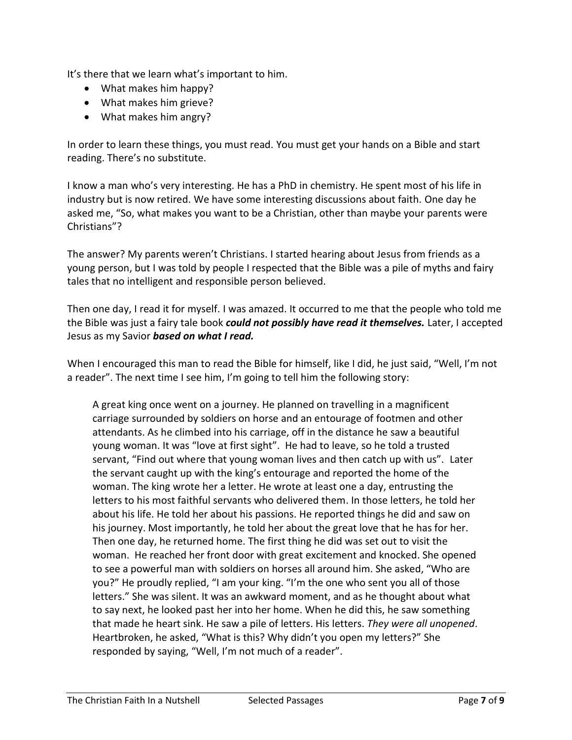It's there that we learn what's important to him.

- What makes him happy?
- What makes him grieve?
- What makes him angry?

In order to learn these things, you must read. You must get your hands on a Bible and start reading. There's no substitute.

I know a man who's very interesting. He has a PhD in chemistry. He spent most of his life in industry but is now retired. We have some interesting discussions about faith. One day he asked me, "So, what makes you want to be a Christian, other than maybe your parents were Christians"?

The answer? My parents weren't Christians. I started hearing about Jesus from friends as a young person, but I was told by people I respected that the Bible was a pile of myths and fairy tales that no intelligent and responsible person believed.

Then one day, I read it for myself. I was amazed. It occurred to me that the people who told me the Bible was just a fairy tale book *could not possibly have read it themselves.* Later, I accepted Jesus as my Savior *based on what I read.*

When I encouraged this man to read the Bible for himself, like I did, he just said, "Well, I'm not a reader". The next time I see him, I'm going to tell him the following story:

A great king once went on a journey. He planned on travelling in a magnificent carriage surrounded by soldiers on horse and an entourage of footmen and other attendants. As he climbed into his carriage, off in the distance he saw a beautiful young woman. It was "love at first sight". He had to leave, so he told a trusted servant, "Find out where that young woman lives and then catch up with us". Later the servant caught up with the king's entourage and reported the home of the woman. The king wrote her a letter. He wrote at least one a day, entrusting the letters to his most faithful servants who delivered them. In those letters, he told her about his life. He told her about his passions. He reported things he did and saw on his journey. Most importantly, he told her about the great love that he has for her. Then one day, he returned home. The first thing he did was set out to visit the woman. He reached her front door with great excitement and knocked. She opened to see a powerful man with soldiers on horses all around him. She asked, "Who are you?" He proudly replied, "I am your king. "I'm the one who sent you all of those letters." She was silent. It was an awkward moment, and as he thought about what to say next, he looked past her into her home. When he did this, he saw something that made he heart sink. He saw a pile of letters. His letters. *They were all unopened*. Heartbroken, he asked, "What is this? Why didn't you open my letters?" She responded by saying, "Well, I'm not much of a reader".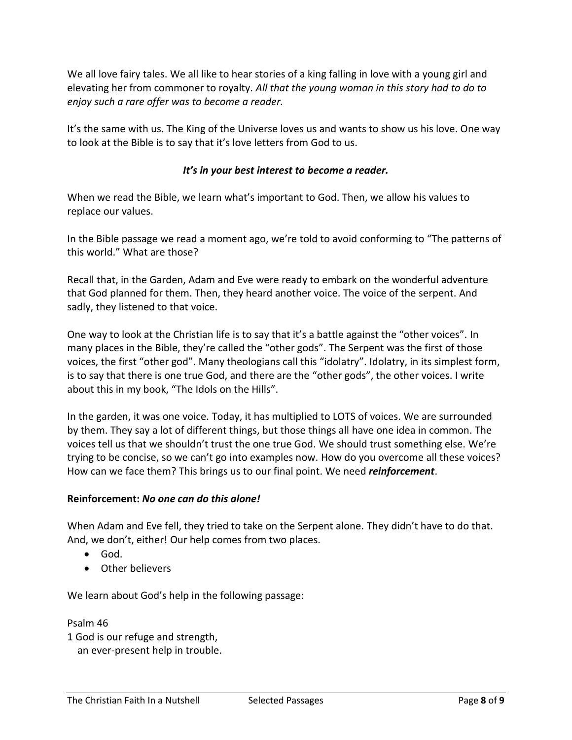We all love fairy tales. We all like to hear stories of a king falling in love with a young girl and elevating her from commoner to royalty. *All that the young woman in this story had to do to enjoy such a rare offer was to become a reader.*

It's the same with us. The King of the Universe loves us and wants to show us his love. One way to look at the Bible is to say that it's love letters from God to us.

# *It's in your best interest to become a reader.*

When we read the Bible, we learn what's important to God. Then, we allow his values to replace our values.

In the Bible passage we read a moment ago, we're told to avoid conforming to "The patterns of this world." What are those?

Recall that, in the Garden, Adam and Eve were ready to embark on the wonderful adventure that God planned for them. Then, they heard another voice. The voice of the serpent. And sadly, they listened to that voice.

One way to look at the Christian life is to say that it's a battle against the "other voices". In many places in the Bible, they're called the "other gods". The Serpent was the first of those voices, the first "other god". Many theologians call this "idolatry". Idolatry, in its simplest form, is to say that there is one true God, and there are the "other gods", the other voices. I write about this in my book, "The Idols on the Hills".

In the garden, it was one voice. Today, it has multiplied to LOTS of voices. We are surrounded by them. They say a lot of different things, but those things all have one idea in common. The voices tell us that we shouldn't trust the one true God. We should trust something else. We're trying to be concise, so we can't go into examples now. How do you overcome all these voices? How can we face them? This brings us to our final point. We need *reinforcement*.

### **Reinforcement:** *No one can do this alone!*

When Adam and Eve fell, they tried to take on the Serpent alone. They didn't have to do that. And, we don't, either! Our help comes from two places.

- God.
- Other believers

We learn about God's help in the following passage:

### Psalm 46

1 God is our refuge and strength, an ever-present help in trouble.